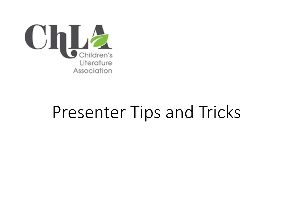

## Presenter Tips and Tricks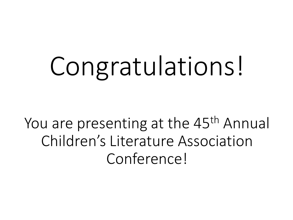# Congratulations!

You are presenting at the 45<sup>th</sup> Annual Children's Literature Association Conference!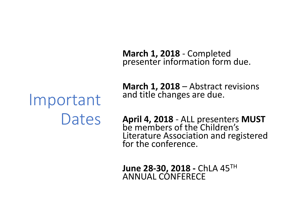**March 1, 2018** - Completed presenter information form due.

## Important Dates

**March 1, 2018** – Abstract revisions and title changes are due.

**April 4, 2018** - ALL presenters **MUST** be members of the Children's Literature Association and registered for the conference.

**June 28-30, 2018 -** ChLA 45TH ANNUAL CONFERECE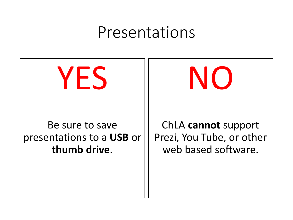#### Presentations

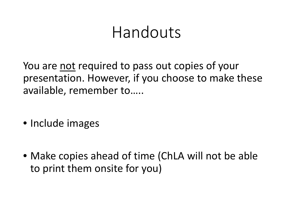### Handouts

You are not required to pass out copies of your presentation. However, if you choose to make these available, remember to…..

- Include images
- Make copies ahead of time (ChLA will not be able to print them onsite for you)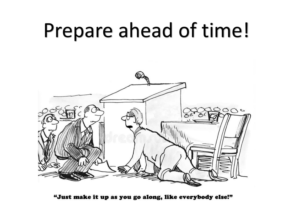## Prepare ahead of time!



"Just make it up as you go along, like everybody else!"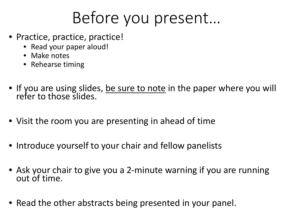## Before you present…

- Practice, practice, practice!
	- Read your paper aloud!
	- Make notes
	- Rehearse timing
- If you are using slides, be sure to note in the paper where you will refer to those slides.
- Visit the room you are presenting in ahead of time
- Introduce yourself to your chair and fellow panelists
- Ask your chair to give you a 2-minute warning if you are running out of time.
- Read the other abstracts being presented in your panel.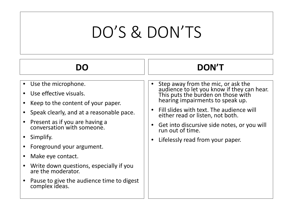## DO'S & DON'TS

| $-$ |
|-----|
|-----|

- Use the microphone.
- Use effective visuals.
- Keep to the content of your paper.
- Speak clearly, and at a reasonable pace.
- Present as if you are having a conversation with someone.
- Simplify.
- Foreground your argument.
- Make eye contact.
- Write down questions, especially if you are the moderator.
- Pause to give the audience time to digest complex ideas.

Step away from the mic, or ask the audience to let you know if they can hear. This puts the burden on those with hearing impairments to speak up.

**DON'T**

- Fill slides with text. The audience will either read or listen, not both.
- Get into discursive side notes, or you will run out of time.
- Lifelessly read from your paper.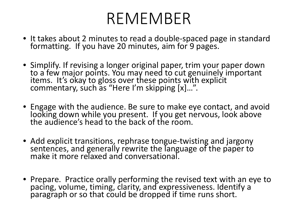## REMEMBER

- It takes about 2 minutes to read a double-spaced page in standard <br>formatting. If you have 20 minutes, aim for 9 pages.
- Simplify. If revising a longer original paper, trim your paper down to a few major points. You may need to cut genuinely important items. It's okay to gloss over these points with explicit commentary, such as "Here I'm skipping [x]…".
- Engage with the audience. Be sure to make eye contact, and avoid looking down while you present. If you get nervous, look above the audience's head to the back of the room.
- Add explicit transitions, rephrase tongue-twisting and jargony sentences, and generally rewrite the language of the paper to make it more relaxed and conversational.
- Prepare. Practice orally performing the revised text with an eye to pacing, volume, timing, clarity, and expressiveness. Identify a paragraph or so that could be dropped if time runs short.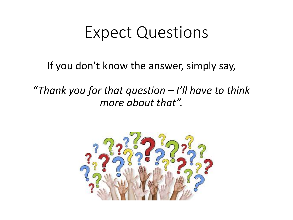#### Expect Questions

If you don't know the answer, simply say,

*"Thank you for that question – I'll have to think more about that".*